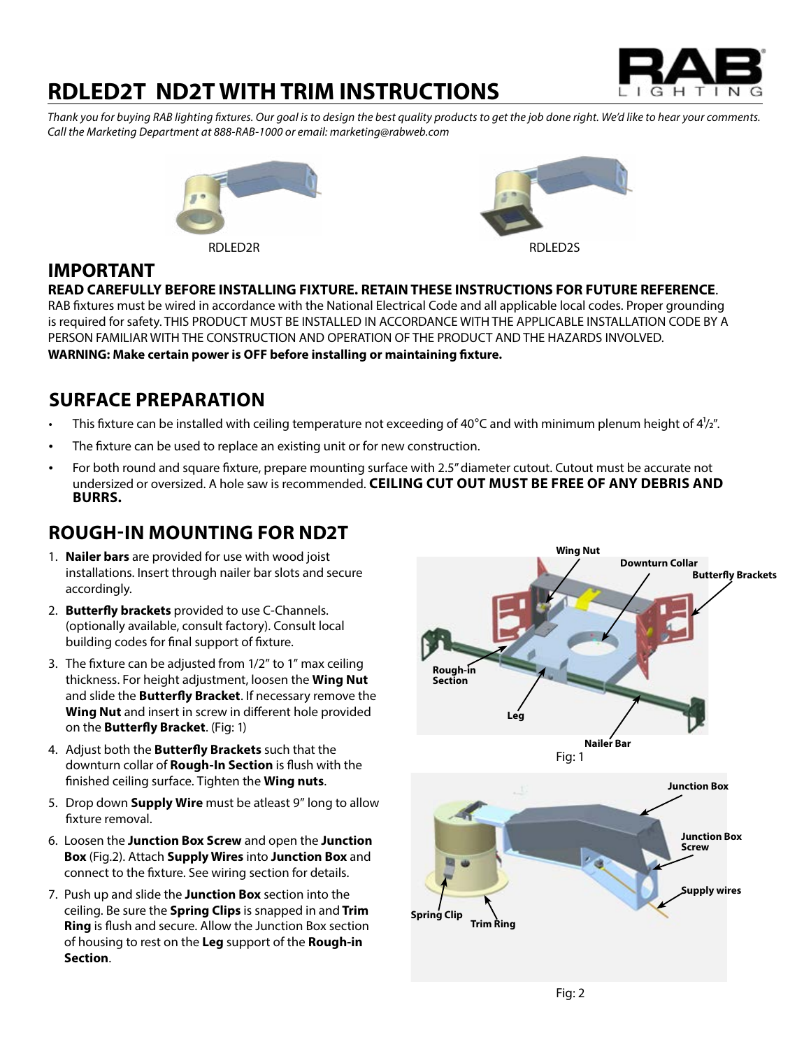

# **RDLED2T ND2T WITH TRIM INSTRUCTIONS**

*Thank you for buying RAB lighting fixtures. Our goal is to design the best quality products to get the job done right. We'd like to hear your comments. Call the Marketing Department at 888-RAB-1000 or email: marketing@rabweb.com*





#### **IMPORTANT**

**READ CAREFULLY BEFORE INSTALLING FIXTURE. RETAIN THESE INSTRUCTIONS FOR FUTURE REFERENCE**.

RAB fixtures must be wired in accordance with the National Electrical Code and all applicable local codes. Proper grounding is required for safety. THIS PRODUCT MUST BE INSTALLED IN ACCORDANCE WITH THE APPLICABLE INSTALLATION CODE BY A PERSON FAMILIAR WITH THE CONSTRUCTION AND OPERATION OF THE PRODUCT AND THE HAZARDS INVOLVED. **WARNING: Make certain power is OFF before installing or maintaining fixture.** 

### **SURFACE PREPARATION**

- This fixture can be installed with ceiling temperature not exceeding of 40°C and with minimum plenum height of 4 $1/2$ ".
- The fixture can be used to replace an existing unit or for new construction.
- For both round and square fixture, prepare mounting surface with 2.5" diameter cutout. Cutout must be accurate not undersized or oversized. A hole saw is recommended. **CEILING CUT OUT MUST BE FREE OF ANY DEBRIS AND BURRS.**

### **ROUGH-IN MOUNTING FOR ND2T**

- 1. **Nailer bars** are provided for use with wood joist installations. Insert through nailer bar slots and secure accordingly.
- 2. **Butterfly brackets** provided to use C-Channels. (optionally available, consult factory). Consult local building codes for final support of fixture.
- 3. The fixture can be adjusted from 1/2" to 1" max ceiling thickness. For height adjustment, loosen the **Wing Nut** and slide the **Butterfly Bracket**. If necessary remove the **Wing Nut** and insert in screw in different hole provided on the **Butterfly Bracket**. (Fig: 1)
- 4. Adjust both the **Butterfly Brackets** such that the downturn collar of **Rough-In Section** is flush with the finished ceiling surface. Tighten the **Wing nuts**.
- 5. Drop down **Supply Wire** must be atleast 9" long to allow fixture removal.
- 6. Loosen the **Junction Box Screw** and open the **Junction Box** (Fig.2). Attach **Supply Wires** into **Junction Box** and connect to the fixture. See wiring section for details.
- 7. Push up and slide the **Junction Box** section into the ceiling. Be sure the **Spring Clips** is snapped in and **Trim Ring** is flush and secure. Allow the Junction Box section of housing to rest on the **Leg** support of the **Rough-in Section**.

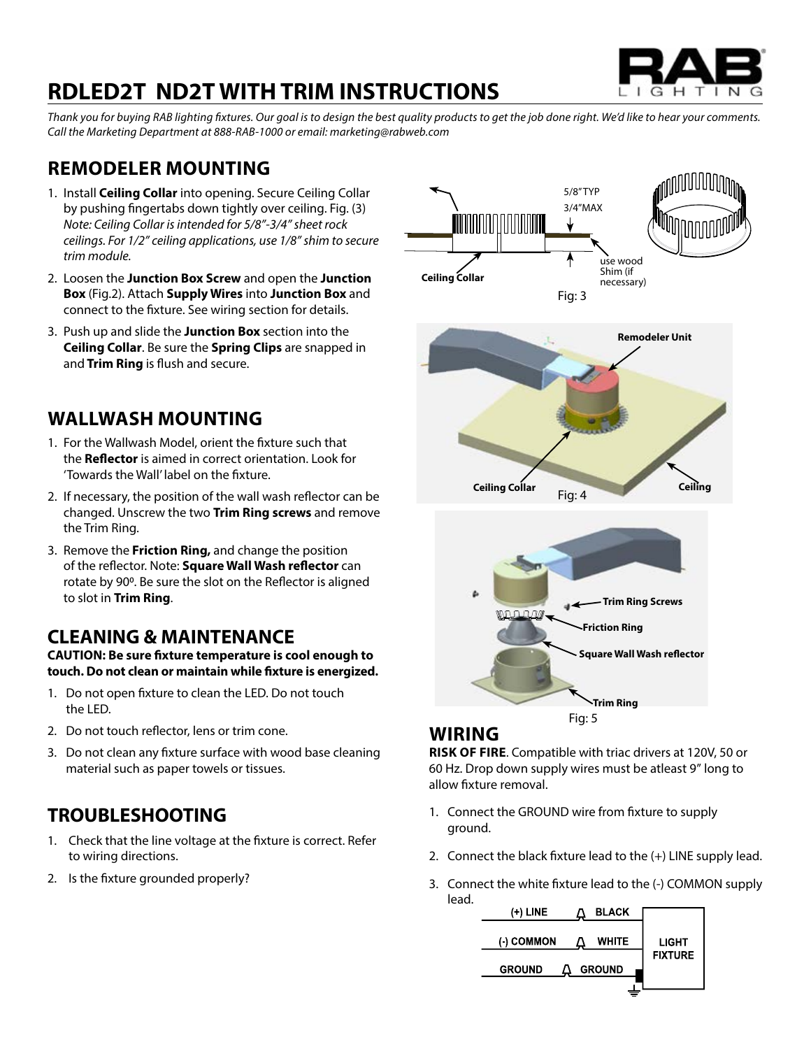

# **RDLED2T ND2T WITH TRIM INSTRUCTIONS**

*Thank you for buying RAB lighting fixtures. Our goal is to design the best quality products to get the job done right. We'd like to hear your comments. Call the Marketing Department at 888-RAB-1000 or email: marketing@rabweb.com*

## **REMODELER MOUNTING**

- 1. Install **Ceiling Collar** into opening. Secure Ceiling Collar by pushing fingertabs down tightly over ceiling. Fig. (3) *Note: Ceiling Collar is intended for 5/8"-3/4" sheet rock ceilings. For 1/2" ceiling applications, use 1/8" shim to secure trim module.*
- 2. Loosen the **Junction Box Screw** and open the **Junction Box** (Fig.2). Attach **Supply Wires** into **Junction Box** and connect to the fixture. See wiring section for details.
- 3. Push up and slide the **Junction Box** section into the **Ceiling Collar**. Be sure the **Spring Clips** are snapped in and **Trim Ring** is flush and secure.

#### **WALLWASH MOUNTING**

- 1. For the Wallwash Model, orient the fixture such that the **Reflector** is aimed in correct orientation. Look for 'Towards the Wall' label on the fixture.
- 2. If necessary, the position of the wall wash reflector can be changed. Unscrew the two **Trim Ring screws** and remove the Trim Ring.
- 3. Remove the **Friction Ring,** and change the position of the reflector. Note: **Square Wall Wash reflector** can rotate by 90°. Be sure the slot on the Reflector is aligned to slot in **Trim Ring**.

### **CLEANING & MAINTENANCE**

**CAUTION: Be sure fixture temperature is cool enough to touch. Do not clean or maintain while fixture is energized.**

- 1. Do not open fixture to clean the LED. Do not touch the LED.
- 2. Do not touch reflector, lens or trim cone.
- 3. Do not clean any fixture surface with wood base cleaning material such as paper towels or tissues.

## **TROUBLESHOOTING**

- 1. Check that the line voltage at the fixture is correct. Refer to wiring directions.
- 2. Is the fixture grounded properly?



**RISK OF FIRE**. Compatible with triac drivers at 120V, 50 or 60 Hz. Drop down supply wires must be atleast 9" long to allow fixture removal.

- 1. Connect the GROUND wire from fixture to supply ground.
- 2. Connect the black fixture lead to the (+) LINE supply lead.
- 3. Connect the white fixture lead to the (-) COMMON supply lead.

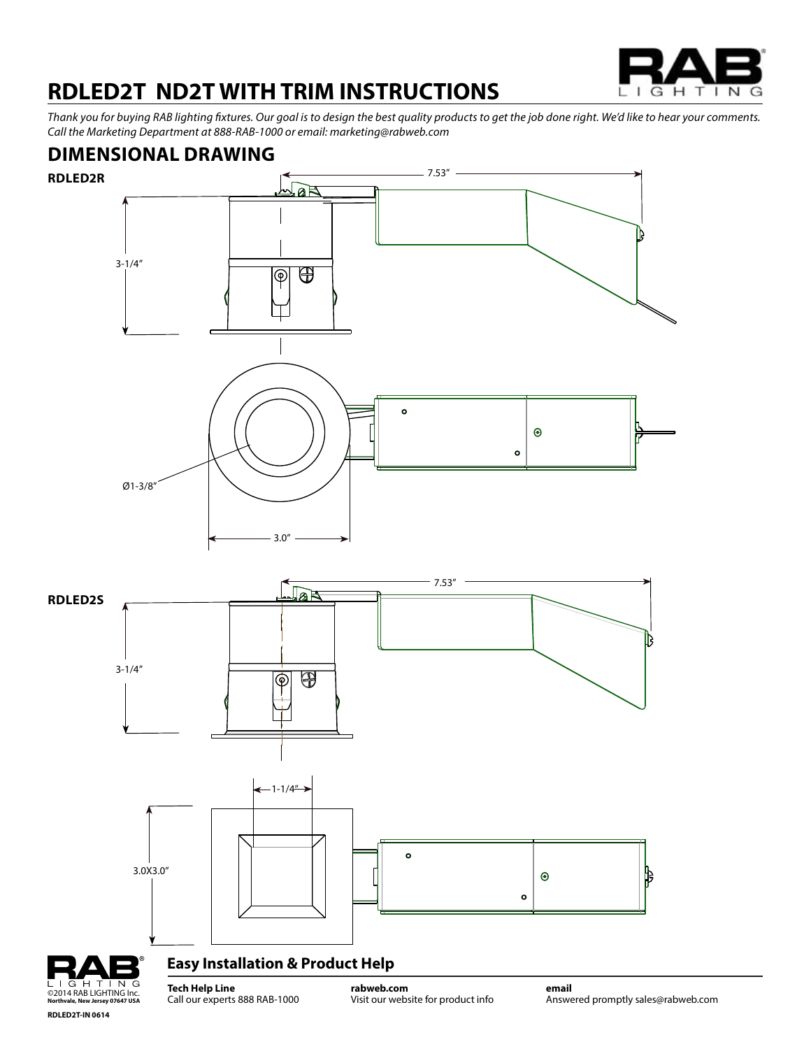

# **RDLED2T ND2T WITH TRIM INSTRUCTIONS**

*Thank you for buying RAB lighting fixtures. Our goal is to design the best quality products to get the job done right. We'd like to hear your comments. Call the Marketing Department at 888-RAB-1000 or email: marketing@rabweb.com*





#### **Easy Installation & Product Help**

**Tech Help Line** Call our experts 888 RAB-1000 **rabweb.com** Visit our website for product info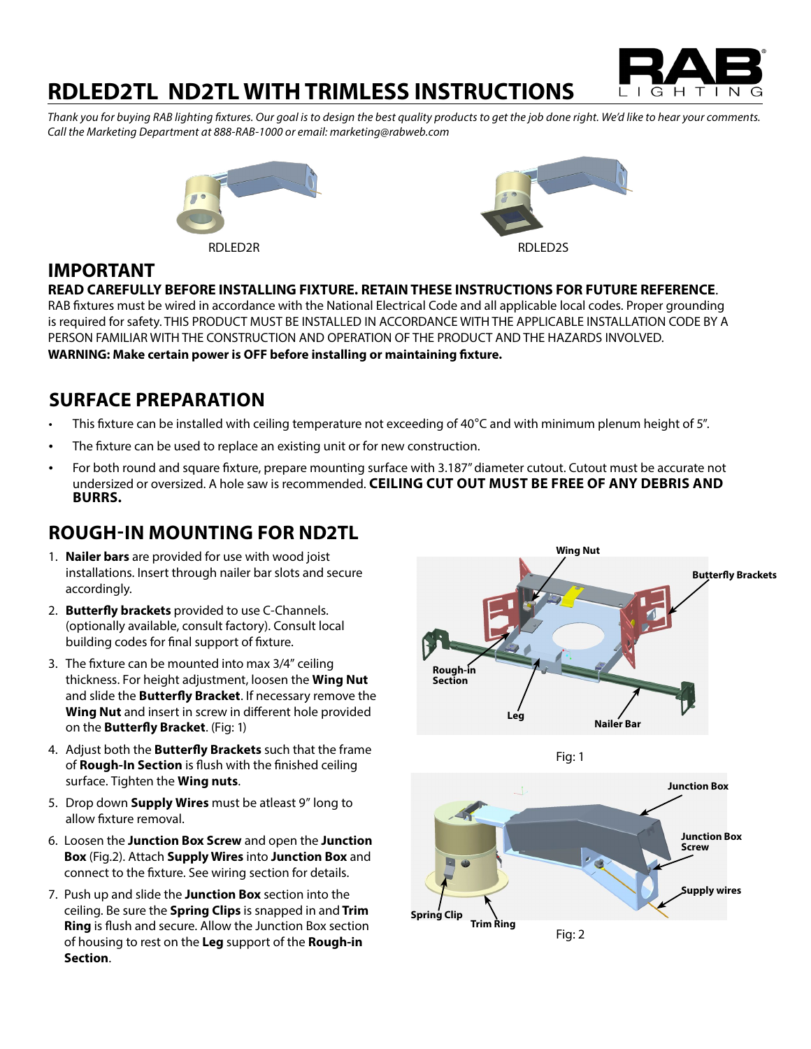

# **RDLED2TL ND2TL WITH TRIMLESS INSTRUCTIONS**

*Thank you for buying RAB lighting fixtures. Our goal is to design the best quality products to get the job done right. We'd like to hear your comments. Call the Marketing Department at 888-RAB-1000 or email: marketing@rabweb.com*





#### **IMPORTANT**

**READ CAREFULLY BEFORE INSTALLING FIXTURE. RETAIN THESE INSTRUCTIONS FOR FUTURE REFERENCE**.

RAB fixtures must be wired in accordance with the National Electrical Code and all applicable local codes. Proper grounding is required for safety. THIS PRODUCT MUST BE INSTALLED IN ACCORDANCE WITH THE APPLICABLE INSTALLATION CODE BY A PERSON FAMILIAR WITH THE CONSTRUCTION AND OPERATION OF THE PRODUCT AND THE HAZARDS INVOLVED. **WARNING: Make certain power is OFF before installing or maintaining fixture.**

### **SURFACE PREPARATION**

- This fixture can be installed with ceiling temperature not exceeding of 40°C and with minimum plenum height of 5".
- The fixture can be used to replace an existing unit or for new construction.
- For both round and square fixture, prepare mounting surface with 3.187" diameter cutout. Cutout must be accurate not undersized or oversized. A hole saw is recommended. **CEILING CUT OUT MUST BE FREE OF ANY DEBRIS AND BURRS.**

## **ROUGH-IN MOUNTING FOR ND2TL**

- 1. **Nailer bars** are provided for use with wood joist installations. Insert through nailer bar slots and secure accordingly.
- 2. **Butterfly brackets** provided to use C-Channels. (optionally available, consult factory). Consult local building codes for final support of fixture.
- 3. The fixture can be mounted into max 3/4" ceiling thickness. For height adjustment, loosen the **Wing Nut** and slide the **Butterfly Bracket**. If necessary remove the **Wing Nut** and insert in screw in different hole provided on the **Butterfly Bracket**. (Fig: 1)
- 4. Adjust both the **Butterfly Brackets** such that the frame of **Rough-In Section** is flush with the finished ceiling surface. Tighten the **Wing nuts**.
- 5. Drop down **Supply Wires** must be atleast 9" long to allow fixture removal.
- 6. Loosen the **Junction Box Screw** and open the **Junction Box** (Fig.2). Attach **Supply Wires** into **Junction Box** and connect to the fixture. See wiring section for details.
- 7. Push up and slide the **Junction Box** section into the ceiling. Be sure the **Spring Clips** is snapped in and **Trim Ring** is flush and secure. Allow the Junction Box section of housing to rest on the **Leg** support of the **Rough-in Section**.





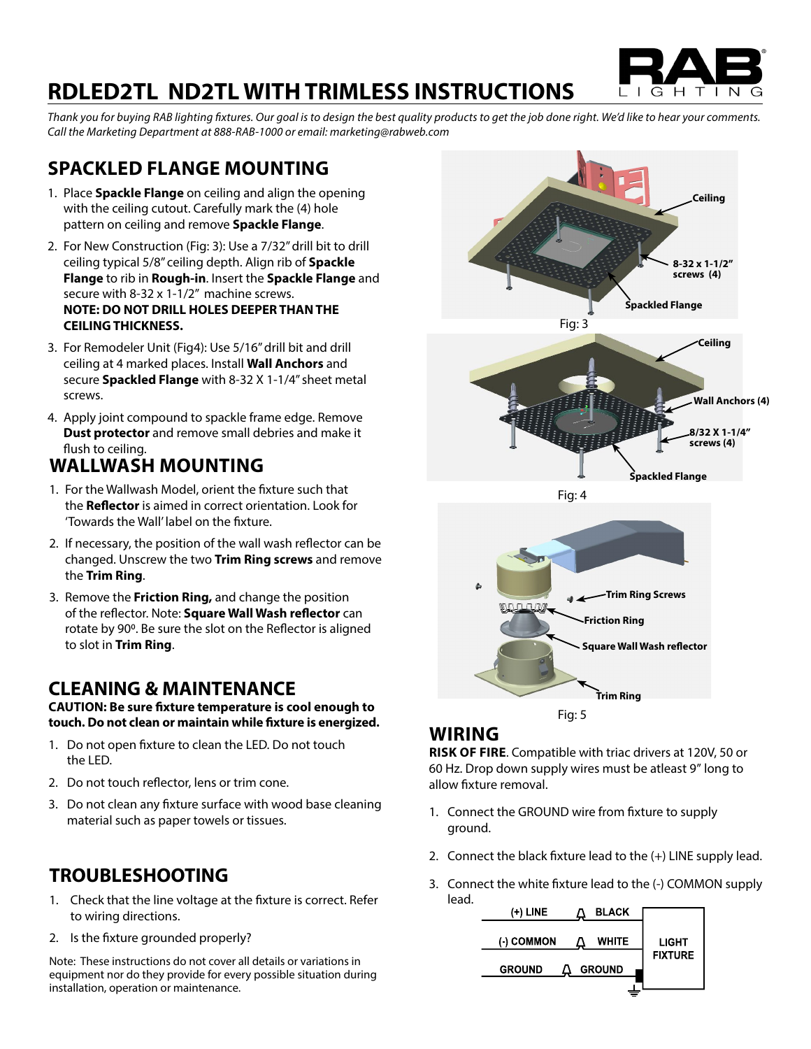

# **RDLED2TL ND2TL WITH TRIMLESS INSTRUCTIONS**

*Thank you for buying RAB lighting fixtures. Our goal is to design the best quality products to get the job done right. We'd like to hear your comments. Call the Marketing Department at 888-RAB-1000 or email: marketing@rabweb.com*

## **SPACKLED FLANGE MOUNTING**

- 1. Place **Spackle Flange** on ceiling and align the opening with the ceiling cutout. Carefully mark the (4) hole pattern on ceiling and remove **Spackle Flange**.
- 2. For New Construction (Fig: 3): Use a 7/32" drill bit to drill ceiling typical 5/8" ceiling depth. Align rib of **Spackle Flange** to rib in **Rough-in**. Insert the **Spackle Flange** and secure with 8-32 x 1-1/2" machine screws. **NOTE: DO NOT DRILL HOLES DEEPER THAN THE CEILING THICKNESS.**
- 3. For Remodeler Unit (Fig4): Use 5/16" drill bit and drill ceiling at 4 marked places. Install **Wall Anchors** and secure **Spackled Flange** with 8-32 X 1-1/4" sheet metal screws.
- 4. Apply joint compound to spackle frame edge. Remove **Dust protector** and remove small debries and make it flush to ceiling.

#### **WALLWASH MOUNTING**

- 1. For the Wallwash Model, orient the fixture such that the **Reflector** is aimed in correct orientation. Look for 'Towards the Wall' label on the fixture.
- 2. If necessary, the position of the wall wash reflector can be changed. Unscrew the two **Trim Ring screws** and remove the **Trim Ring**.
- 3. Remove the **Friction Ring,** and change the position of the reflector. Note: **Square Wall Wash reflector** can rotate by 900. Be sure the slot on the Reflector is aligned to slot in **Trim Ring**.

### **CLEANING & MAINTENANCE**

**CAUTION: Be sure fixture temperature is cool enough to touch. Do not clean or maintain while fixture is energized.**

- 1. Do not open fixture to clean the LED. Do not touch the LED.
- 2. Do not touch reflector, lens or trim cone.
- 3. Do not clean any fixture surface with wood base cleaning material such as paper towels or tissues.

## **TROUBLESHOOTING**

- 1. Check that the line voltage at the fixture is correct. Refer to wiring directions.
- 2. Is the fixture grounded properly?

Note: These instructions do not cover all details or variations in equipment nor do they provide for every possible situation during installation, operation or maintenance.



#### **WIRING**

**RISK OF FIRE**. Compatible with triac drivers at 120V, 50 or 60 Hz. Drop down supply wires must be atleast 9" long to allow fixture removal.

- 1. Connect the GROUND wire from fixture to supply ground.
- 2. Connect the black fixture lead to the (+) LINE supply lead.
- 3. Connect the white fixture lead to the (-) COMMON supply lead.